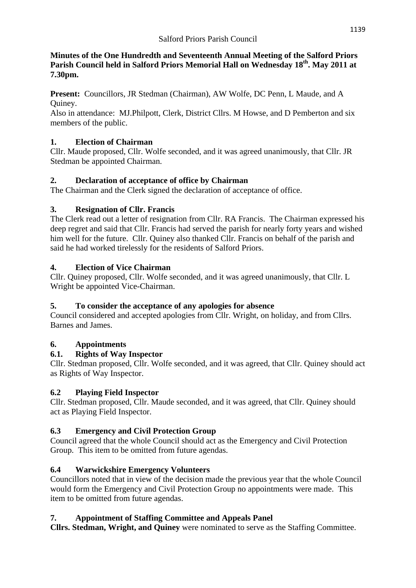#### **Minutes of the One Hundredth and Seventeenth Annual Meeting of the Salford Priors Parish Council held in Salford Priors Memorial Hall on Wednesday 18th. May 2011 at 7.30pm.**

**Present:** Councillors, JR Stedman (Chairman), AW Wolfe, DC Penn, L Maude, and A Quiney.

Also in attendance: MJ.Philpott, Clerk, District Cllrs. M Howse, and D Pemberton and six members of the public.

# **1. Election of Chairman**

Cllr. Maude proposed, Cllr. Wolfe seconded, and it was agreed unanimously, that Cllr. JR Stedman be appointed Chairman.

# **2. Declaration of acceptance of office by Chairman**

The Chairman and the Clerk signed the declaration of acceptance of office.

# **3. Resignation of Cllr. Francis**

The Clerk read out a letter of resignation from Cllr. RA Francis. The Chairman expressed his deep regret and said that Cllr. Francis had served the parish for nearly forty years and wished him well for the future. Cllr. Quiney also thanked Cllr. Francis on behalf of the parish and said he had worked tirelessly for the residents of Salford Priors.

# **4. Election of Vice Chairman**

Cllr. Quiney proposed, Cllr. Wolfe seconded, and it was agreed unanimously, that Cllr. L Wright be appointed Vice-Chairman.

# **5. To consider the acceptance of any apologies for absence**

Council considered and accepted apologies from Cllr. Wright, on holiday, and from Cllrs. Barnes and James.

# **6. Appointments**

# **6.1. Rights of Way Inspector**

Cllr. Stedman proposed, Cllr. Wolfe seconded, and it was agreed, that Cllr. Quiney should act as Rights of Way Inspector.

# **6.2 Playing Field Inspector**

Cllr. Stedman proposed, Cllr. Maude seconded, and it was agreed, that Cllr. Quiney should act as Playing Field Inspector.

# **6.3 Emergency and Civil Protection Group**

Council agreed that the whole Council should act as the Emergency and Civil Protection Group. This item to be omitted from future agendas.

# **6.4 Warwickshire Emergency Volunteers**

Councillors noted that in view of the decision made the previous year that the whole Council would form the Emergency and Civil Protection Group no appointments were made. This item to be omitted from future agendas.

# **7. Appointment of Staffing Committee and Appeals Panel**

**Cllrs. Stedman, Wright, and Quiney** were nominated to serve as the Staffing Committee.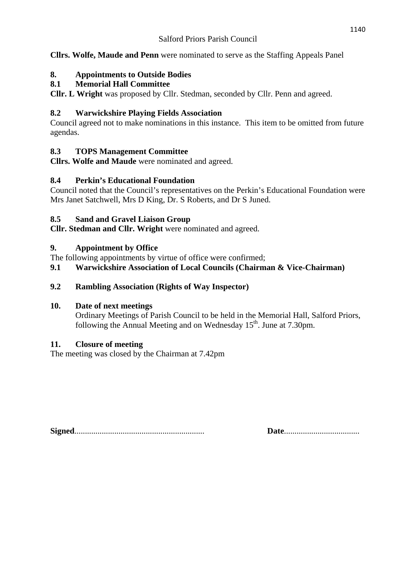**Cllrs. Wolfe, Maude and Penn** were nominated to serve as the Staffing Appeals Panel

# **8. Appointments to Outside Bodies**

# **8.1 Memorial Hall Committee**

**Cllr. L Wright** was proposed by Cllr. Stedman, seconded by Cllr. Penn and agreed.

# **8.2 Warwickshire Playing Fields Association**

Council agreed not to make nominations in this instance. This item to be omitted from future agendas.

# **8.3 TOPS Management Committee**

**Cllrs. Wolfe and Maude** were nominated and agreed.

# **8.4 Perkin's Educational Foundation**

Council noted that the Council's representatives on the Perkin's Educational Foundation were Mrs Janet Satchwell, Mrs D King, Dr. S Roberts, and Dr S Juned.

# **8.5 Sand and Gravel Liaison Group**

**Cllr. Stedman and Cllr. Wright** were nominated and agreed.

# **9. Appointment by Office**

The following appointments by virtue of office were confirmed;

# **9.1 Warwickshire Association of Local Councils (Chairman & Vice-Chairman)**

# **9.2 Rambling Association (Rights of Way Inspector)**

# **10. Date of next meetings**

 Ordinary Meetings of Parish Council to be held in the Memorial Hall, Salford Priors, following the Annual Meeting and on Wednesday  $15<sup>th</sup>$ . June at 7.30pm.

# **11. Closure of meeting**

The meeting was closed by the Chairman at 7.42pm

**Signed**.............................................................. **Date**....................................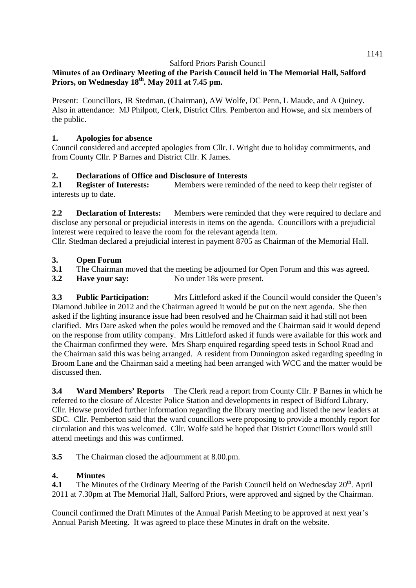## **Minutes of an Ordinary Meeting of the Parish Council held in The Memorial Hall, Salford Priors, on Wednesday 18th. May 2011 at 7.45 pm.**

Present: Councillors, JR Stedman, (Chairman), AW Wolfe, DC Penn, L Maude, and A Quiney. Also in attendance: MJ Philpott, Clerk, District Cllrs. Pemberton and Howse, and six members of the public.

#### **1. Apologies for absence**

Council considered and accepted apologies from Cllr. L Wright due to holiday commitments, and from County Cllr. P Barnes and District Cllr. K James.

#### **2. Declarations of Office and Disclosure of Interests**

**2.1 Register of Interests:** Members were reminded of the need to keep their register of interests up to date.

**2.2 Declaration of Interests:** Members were reminded that they were required to declare and disclose any personal or prejudicial interests in items on the agenda. Councillors with a prejudicial interest were required to leave the room for the relevant agenda item.

Cllr. Stedman declared a prejudicial interest in payment 8705 as Chairman of the Memorial Hall.

#### **3. Open Forum**

- **3.1** The Chairman moved that the meeting be adjourned for Open Forum and this was agreed.
- **3.2 Have your say:** No under 18s were present.

**3.3 Public Participation:** Mrs Littleford asked if the Council would consider the Queen's Diamond Jubilee in 2012 and the Chairman agreed it would be put on the next agenda. She then asked if the lighting insurance issue had been resolved and he Chairman said it had still not been clarified. Mrs Dare asked when the poles would be removed and the Chairman said it would depend on the response from utility company. Mrs Littleford asked if funds were available for this work and the Chairman confirmed they were. Mrs Sharp enquired regarding speed tests in School Road and the Chairman said this was being arranged. A resident from Dunnington asked regarding speeding in Broom Lane and the Chairman said a meeting had been arranged with WCC and the matter would be discussed then.

**3.4 Ward Members' Reports** The Clerk read a report from County Cllr. P Barnes in which he referred to the closure of Alcester Police Station and developments in respect of Bidford Library. Cllr. Howse provided further information regarding the library meeting and listed the new leaders at SDC. Cllr. Pemberton said that the ward councillors were proposing to provide a monthly report for circulation and this was welcomed. Cllr. Wolfe said he hoped that District Councillors would still attend meetings and this was confirmed.

**3.5** The Chairman closed the adjournment at 8.00.pm.

#### **4. Minutes**

**4.1** The Minutes of the Ordinary Meeting of the Parish Council held on Wednesday 20<sup>th</sup>. April 2011 at 7.30pm at The Memorial Hall, Salford Priors, were approved and signed by the Chairman.

Council confirmed the Draft Minutes of the Annual Parish Meeting to be approved at next year's Annual Parish Meeting. It was agreed to place these Minutes in draft on the website.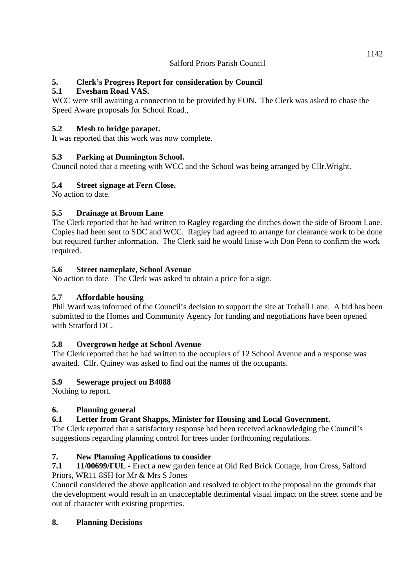## **5. Clerk's Progress Report for consideration by Council**

## **5.1 Evesham Road VAS.**

WCC were still awaiting a connection to be provided by EON. The Clerk was asked to chase the Speed Aware proposals for School Road.,

## **5.2 Mesh to bridge parapet.**

It was reported that this work was now complete.

# **5.3 Parking at Dunnington School.**

Council noted that a meeting with WCC and the School was being arranged by Cllr.Wright.

# **5.4 Street signage at Fern Close.**

No action to date.

# **5.5 Drainage at Broom Lane**

The Clerk reported that he had written to Ragley regarding the ditches down the side of Broom Lane. Copies had been sent to SDC and WCC. Ragley had agreed to arrange for clearance work to be done but required further information. The Clerk said he would liaise with Don Penn to confirm the work required.

## **5.6 Street nameplate, School Avenue**

No action to date. The Clerk was asked to obtain a price for a sign.

## **5.7 Affordable housing**

Phil Ward was informed of the Council's decision to support the site at Tothall Lane. A bid has been submitted to the Homes and Community Agency for funding and negotiations have been opened with Stratford DC.

## **5.8 Overgrown hedge at School Avenue**

The Clerk reported that he had written to the occupiers of 12 School Avenue and a response was awaited. Cllr. Quiney was asked to find out the names of the occupants.

## **5.9 Sewerage project on B4088**

Nothing to report.

# **6. Planning general**

# **6.1 Letter from Grant Shapps, Minister for Housing and Local Government.**

The Clerk reported that a satisfactory response had been received acknowledging the Council's suggestions regarding planning control for trees under forthcoming regulations.

# **7. New Planning Applications to consider**

**7.1 11/00699/FUL -** Erect a new garden fence at Old Red Brick Cottage, Iron Cross, Salford Priors, WR11 8SH for Mr & Mrs S Jones

Council considered the above application and resolved to object to the proposal on the grounds that the development would result in an unacceptable detrimental visual impact on the street scene and be out of character with existing properties.

## **8. Planning Decisions**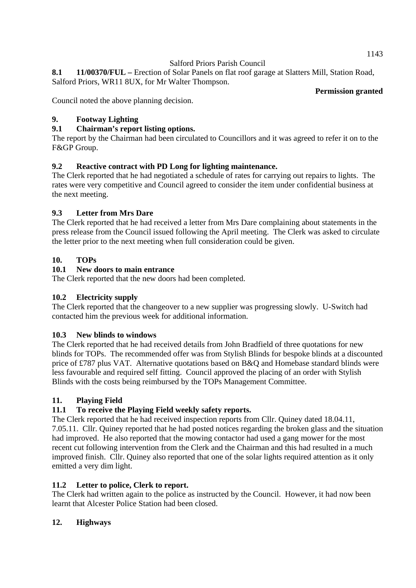**8.1 11/00370/FUL –** Erection of Solar Panels on flat roof garage at Slatters Mill, Station Road, Salford Priors, WR11 8UX, for Mr Walter Thompson.

#### **Permission granted**

Council noted the above planning decision.

#### **9. Footway Lighting**

#### **9.1 Chairman's report listing options.**

The report by the Chairman had been circulated to Councillors and it was agreed to refer it on to the F&GP Group.

#### **9.2 Reactive contract with PD Long for lighting maintenance.**

The Clerk reported that he had negotiated a schedule of rates for carrying out repairs to lights. The rates were very competitive and Council agreed to consider the item under confidential business at the next meeting.

#### **9.3 Letter from Mrs Dare**

The Clerk reported that he had received a letter from Mrs Dare complaining about statements in the press release from the Council issued following the April meeting. The Clerk was asked to circulate the letter prior to the next meeting when full consideration could be given.

#### **10. TOPs**

#### **10.1 New doors to main entrance**

The Clerk reported that the new doors had been completed.

#### **10.2 Electricity supply**

The Clerk reported that the changeover to a new supplier was progressing slowly. U-Switch had contacted him the previous week for additional information.

#### **10.3 New blinds to windows**

The Clerk reported that he had received details from John Bradfield of three quotations for new blinds for TOPs. The recommended offer was from Stylish Blinds for bespoke blinds at a discounted price of £787 plus VAT. Alternative quotations based on B&Q and Homebase standard blinds were less favourable and required self fitting. Council approved the placing of an order with Stylish Blinds with the costs being reimbursed by the TOPs Management Committee.

#### **11. Playing Field**

## **11.1 To receive the Playing Field weekly safety reports.**

The Clerk reported that he had received inspection reports from Cllr. Quiney dated 18.04.11, 7.05.11. Cllr. Quiney reported that he had posted notices regarding the broken glass and the situation had improved. He also reported that the mowing contactor had used a gang mower for the most recent cut following intervention from the Clerk and the Chairman and this had resulted in a much improved finish. Cllr. Quiney also reported that one of the solar lights required attention as it only emitted a very dim light.

#### **11.2 Letter to police, Clerk to report.**

The Clerk had written again to the police as instructed by the Council. However, it had now been learnt that Alcester Police Station had been closed.

#### **12. Highways**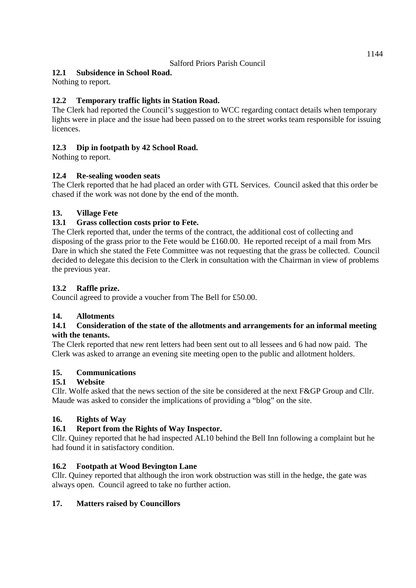#### **12.1 Subsidence in School Road.**

Nothing to report.

## **12.2 Temporary traffic lights in Station Road.**

The Clerk had reported the Council's suggestion to WCC regarding contact details when temporary lights were in place and the issue had been passed on to the street works team responsible for issuing licences.

#### **12.3 Dip in footpath by 42 School Road.**

Nothing to report.

#### **12.4 Re-sealing wooden seats**

The Clerk reported that he had placed an order with GTL Services. Council asked that this order be chased if the work was not done by the end of the month.

#### **13. Village Fete**

#### **13.1 Grass collection costs prior to Fete.**

The Clerk reported that, under the terms of the contract, the additional cost of collecting and disposing of the grass prior to the Fete would be £160.00. He reported receipt of a mail from Mrs Dare in which she stated the Fete Committee was not requesting that the grass be collected. Council decided to delegate this decision to the Clerk in consultation with the Chairman in view of problems the previous year.

#### **13.2 Raffle prize.**

Council agreed to provide a voucher from The Bell for £50.00.

#### **14. Allotments**

#### **14.1 Consideration of the state of the allotments and arrangements for an informal meeting with the tenants.**

The Clerk reported that new rent letters had been sent out to all lessees and 6 had now paid. The Clerk was asked to arrange an evening site meeting open to the public and allotment holders.

#### **15. Communications**

#### **15.1 Website**

Cllr. Wolfe asked that the news section of the site be considered at the next F&GP Group and Cllr. Maude was asked to consider the implications of providing a "blog" on the site.

#### **16. Rights of Way**

#### **16.1 Report from the Rights of Way Inspector.**

Cllr. Quiney reported that he had inspected AL10 behind the Bell Inn following a complaint but he had found it in satisfactory condition.

#### **16.2 Footpath at Wood Bevington Lane**

Cllr. Quiney reported that although the iron work obstruction was still in the hedge, the gate was always open. Council agreed to take no further action.

#### **17. Matters raised by Councillors**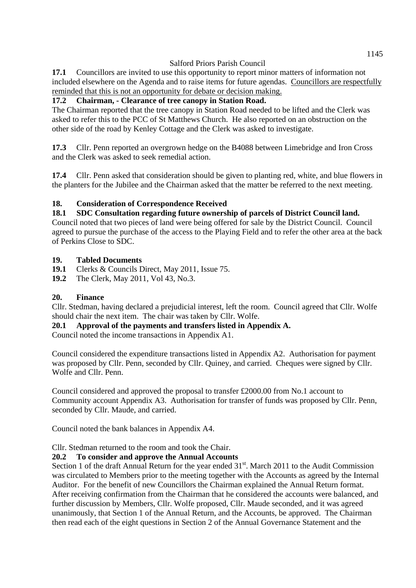**17.1** Councillors are invited to use this opportunity to report minor matters of information not included elsewhere on the Agenda and to raise items for future agendas. Councillors are respectfully reminded that this is not an opportunity for debate or decision making.

#### **17.2 Chairman, - Clearance of tree canopy in Station Road.**

The Chairman reported that the tree canopy in Station Road needed to be lifted and the Clerk was asked to refer this to the PCC of St Matthews Church. He also reported on an obstruction on the other side of the road by Kenley Cottage and the Clerk was asked to investigate.

**17.3** Cllr. Penn reported an overgrown hedge on the B4088 between Limebridge and Iron Cross and the Clerk was asked to seek remedial action.

**17.4** Cllr. Penn asked that consideration should be given to planting red, white, and blue flowers in the planters for the Jubilee and the Chairman asked that the matter be referred to the next meeting.

#### **18. Consideration of Correspondence Received**

#### **18.1 SDC Consultation regarding future ownership of parcels of District Council land.**

Council noted that two pieces of land were being offered for sale by the District Council. Council agreed to pursue the purchase of the access to the Playing Field and to refer the other area at the back of Perkins Close to SDC.

#### **19. Tabled Documents**

- **19.1** Clerks & Councils Direct, May 2011, Issue 75.
- **19.2** The Clerk, May 2011, Vol 43, No.3.

#### **20. Finance**

Cllr. Stedman, having declared a prejudicial interest, left the room. Council agreed that Cllr. Wolfe should chair the next item. The chair was taken by Cllr. Wolfe.

#### **20.1 Approval of the payments and transfers listed in Appendix A.**

Council noted the income transactions in Appendix A1.

Council considered the expenditure transactions listed in Appendix A2. Authorisation for payment was proposed by Cllr. Penn, seconded by Cllr. Quiney, and carried. Cheques were signed by Cllr. Wolfe and Cllr. Penn.

Council considered and approved the proposal to transfer £2000.00 from No.1 account to Community account Appendix A3. Authorisation for transfer of funds was proposed by Cllr. Penn, seconded by Cllr. Maude, and carried.

Council noted the bank balances in Appendix A4.

Cllr. Stedman returned to the room and took the Chair.

#### **20.2 To consider and approve the Annual Accounts**

Section 1 of the draft Annual Return for the year ended  $31<sup>st</sup>$ . March 2011 to the Audit Commission was circulated to Members prior to the meeting together with the Accounts as agreed by the Internal Auditor. For the benefit of new Councillors the Chairman explained the Annual Return format. After receiving confirmation from the Chairman that he considered the accounts were balanced, and further discussion by Members, Cllr. Wolfe proposed, Cllr. Maude seconded, and it was agreed unanimously, that Section 1 of the Annual Return, and the Accounts, be approved. The Chairman then read each of the eight questions in Section 2 of the Annual Governance Statement and the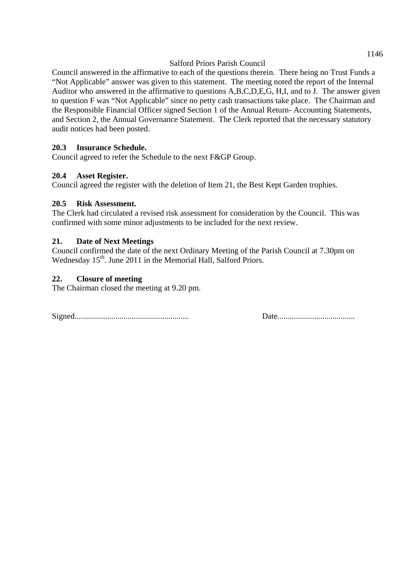Council answered in the affirmative to each of the questions therein. There being no Trust Funds a "Not Applicable" answer was given to this statement. The meeting noted the report of the Internal Auditor who answered in the affirmative to questions A,B,C,D,E,G, H,I, and to J. The answer given to question F was "Not Applicable" since no petty cash transactions take place. The Chairman and the Responsible Financial Officer signed Section 1 of the Annual Return- Accounting Statements, and Section 2, the Annual Governance Statement. The Clerk reported that the necessary statutory audit notices had been posted.

#### **20.3 Insurance Schedule.**

Council agreed to refer the Schedule to the next F&GP Group.

#### **20.4 Asset Register.**

Council agreed the register with the deletion of Item 21, the Best Kept Garden trophies.

#### **20.5 Risk Assessment.**

The Clerk had circulated a revised risk assessment for consideration by the Council. This was confirmed with some minor adjustments to be included for the next review.

#### **21. Date of Next Meetings**

Council confirmed the date of the next Ordinary Meeting of the Parish Council at 7.30pm on Wednesday 15<sup>th</sup>. June 2011 in the Memorial Hall, Salford Priors.

#### **22. Closure of meeting**

The Chairman closed the meeting at 9.20 pm.

Signed........................................................ Date......................................